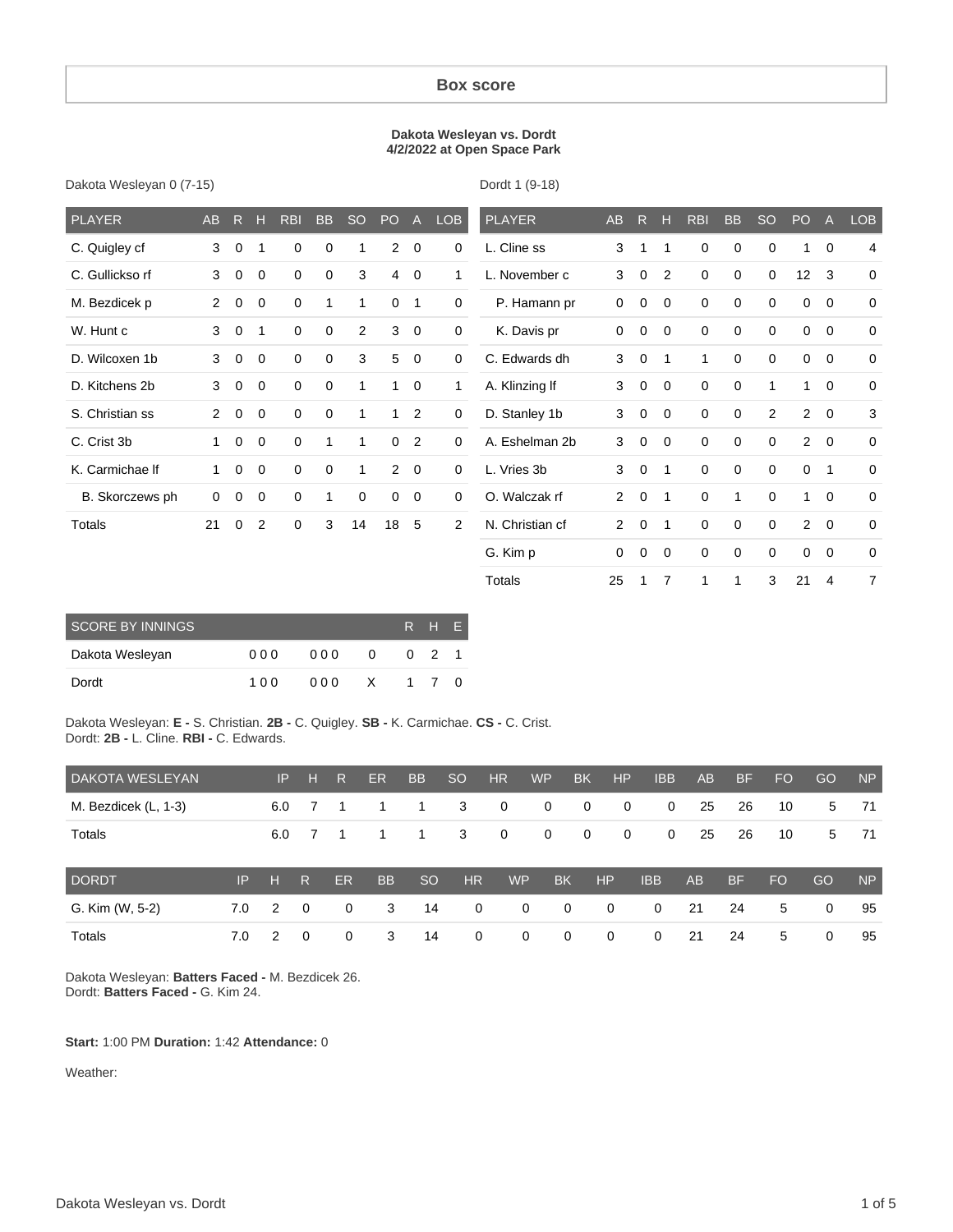#### **Box score**

#### **Dakota Wesleyan vs. Dordt 4/2/2022 at Open Space Park**

|  | Dakota Wesleyan 0 (7-15) |  |  |
|--|--------------------------|--|--|
|--|--------------------------|--|--|

Dordt 1 (9-18)

Totals 25 1 7 1 1 3 21 4 7

| <b>PLAYER</b>   | <b>AB</b>      | $\overline{R}$ | н           | <b>RBI</b>  | <b>BB</b>   | <b>SO</b>   | PO             | $\mathsf{A}$   | <b>LOB</b>     | <b>PLAYER</b>   | <b>AB</b>            | R.          | н              | <b>RBI</b>  | <b>BB</b>   | <b>SO</b>      | PO             | $\overline{A}$ | <b>LOB</b>     |
|-----------------|----------------|----------------|-------------|-------------|-------------|-------------|----------------|----------------|----------------|-----------------|----------------------|-------------|----------------|-------------|-------------|----------------|----------------|----------------|----------------|
| C. Quigley cf   | 3              | $\mathbf 0$    | 1           | $\mathbf 0$ | $\mathbf 0$ | 1           | $\overline{2}$ | $\mathbf 0$    | 0              | L. Cline ss     | 3                    | 1           | 1              | $\mathbf 0$ | $\mathbf 0$ | 0              | 1              | $\mathbf 0$    | $\overline{4}$ |
| C. Gullickso rf | 3              | $\mathbf 0$    | 0           | $\mathbf 0$ | $\mathbf 0$ | 3           | 4              | $\mathbf 0$    | 1              | L. November c   | 3                    | 0           | $\overline{2}$ | $\mathbf 0$ | $\mathbf 0$ | 0              | 12             | 3              | $\mathbf 0$    |
| M. Bezdicek p   | $\overline{2}$ | 0              | 0           | $\mathbf 0$ | 1           | 1           | 0              | 1              | 0              | P. Hamann pr    | $\Omega$             | 0           | 0              | $\mathbf 0$ | $\mathbf 0$ | $\Omega$       | 0              | $\mathbf 0$    | $\mathbf 0$    |
| W. Hunt c       | 3              | $\mathbf 0$    | 1           | 0           | $\mathbf 0$ | 2           | 3              | $\mathbf 0$    | 0              | K. Davis pr     | $\Omega$             | 0           | 0              | 0           | 0           | $\Omega$       | 0              | $\mathbf 0$    | $\mathbf 0$    |
| D. Wilcoxen 1b  | 3              | $\mathbf 0$    | 0           | $\Omega$    | $\mathbf 0$ | 3           | 5              | $\mathbf 0$    | 0              | C. Edwards dh   | 3                    | $\mathbf 0$ | 1              | 1           | $\Omega$    | $\Omega$       | 0              | $\mathbf 0$    | $\mathbf 0$    |
| D. Kitchens 2b  | 3              | $\mathbf 0$    | $\mathbf 0$ | $\mathbf 0$ | $\mathbf 0$ | 1           | $\mathbf{1}$   | $\mathbf 0$    | $\mathbf{1}$   | A. Klinzing If  | 3                    | $\mathbf 0$ | $\mathbf 0$    | $\mathbf 0$ | $\mathbf 0$ | 1              | $\mathbf{1}$   | $\mathbf 0$    | 0              |
| S. Christian ss | $\overline{2}$ | $\mathbf 0$    | $\mathbf 0$ | $\mathbf 0$ | $\mathbf 0$ | 1           | $\mathbf{1}$   | $\overline{2}$ | 0              | D. Stanley 1b   | 3                    | $\mathbf 0$ | $\mathbf{0}$   | $\mathbf 0$ | $\mathbf 0$ | $\overline{2}$ | $\overline{2}$ | $\mathbf 0$    | 3              |
| C. Crist 3b     | 1              | $\mathbf 0$    | $\mathbf 0$ | $\mathbf 0$ | 1           | 1           | $\mathbf 0$    | $\overline{2}$ | 0              | A. Eshelman 2b  | 3                    | $\mathbf 0$ | $\mathbf{0}$   | $\mathbf 0$ | $\mathbf 0$ | $\Omega$       | $\overline{2}$ | $\mathbf 0$    | $\mathbf 0$    |
| K. Carmichae If | 1              | $\mathbf 0$    | $\mathbf 0$ | $\mathbf 0$ | $\mathbf 0$ | 1           | $\overline{2}$ | $\overline{0}$ | 0              | L. Vries 3b     | 3                    | $\mathbf 0$ | 1              | $\mathbf 0$ | $\mathbf 0$ | $\mathbf 0$    | 0              | $\mathbf{1}$   | $\mathbf 0$    |
| B. Skorczews ph | 0              | 0              | 0           | $\mathbf 0$ | 1           | $\mathbf 0$ | 0              | $\mathbf 0$    | 0              | O. Walczak rf   | $\mathbf{2}^{\circ}$ | $\mathbf 0$ | 1              | $\mathbf 0$ | 1           | $\Omega$       | 1              | $\mathbf 0$    | 0              |
| Totals          | 21             | 0              | 2           | $\mathbf 0$ | 3           | 14          | 18             | 5              | $\overline{2}$ | N. Christian cf | $\overline{2}$       | $\mathbf 0$ | $\mathbf{1}$   | $\mathbf 0$ | $\mathbf 0$ | $\Omega$       | $\overline{2}$ | $\mathbf 0$    | $\mathbf 0$    |
|                 |                |                |             |             |             |             |                |                |                | G. Kim p        | $\mathbf 0$          | 0           | $\mathbf 0$    | $\mathbf 0$ | $\mathbf 0$ | 0              | 0              | $\mathbf 0$    | 0              |

| <b>SCORE BY INNINGS</b> |     |      |              |     | R H E       |     |
|-------------------------|-----|------|--------------|-----|-------------|-----|
| Dakota Wesleyan         | 000 | 000  | 0            |     | $0 \quad 2$ |     |
| Dordt                   | 100 | 00 Q | $\mathsf{X}$ | 1 7 |             | - 0 |

Dakota Wesleyan: **E -** S. Christian. **2B -** C. Quigley. **SB -** K. Carmichae. **CS -** C. Crist. Dordt: **2B -** L. Cline. **RBI -** C. Edwards.

| DAKOTA WESLEYAN      |     | IP. | н                        | R              | ER.       | <b>BB</b>      | <sub>SO</sub> | <b>HR</b>      | <b>WP</b>   | <b>BK</b>      | <b>HP</b>    | <b>IBB</b>   | AB | <b>BF</b> | <b>FO</b> | <b>GO</b> | <b>NP</b> |
|----------------------|-----|-----|--------------------------|----------------|-----------|----------------|---------------|----------------|-------------|----------------|--------------|--------------|----|-----------|-----------|-----------|-----------|
| M. Bezdicek (L, 1-3) |     | 6.0 |                          | $\overline{1}$ | 1         | $\overline{1}$ | 3             | $\overline{0}$ | $\mathbf 0$ | $\overline{0}$ | $\mathbf 0$  | $\mathbf{0}$ | 25 | 26        | 10        | 5         | -71       |
| Totals               |     | 6.0 |                          |                |           | -1             | 3             | $\mathbf 0$    | $\mathbf 0$ | $\overline{0}$ | 0            | $\mathbf 0$  | 25 | 26        | 10        | 5         | 71        |
| <b>DORDT</b>         | IP. | н   | R.                       | <b>ER</b>      | <b>BB</b> | <sub>SO</sub>  | HR            | <b>WP</b>      |             | <b>BK</b>      | HP           | <b>IBB</b>   | AB | <b>BF</b> | <b>FO</b> | GO        | <b>NP</b> |
| G. Kim (W, 5-2)      | 7.0 | 2   | $\overline{0}$           | $\Omega$       | 3         | 14             | $\Omega$      |                | $\mathbf 0$ | $\mathbf 0$    | $\mathbf{0}$ | $\Omega$     | 21 | 24        | 5         | 0         | 95        |
| Totals               | 7.0 | 2   | $\overline{\phantom{0}}$ | $\Omega$       | 3         | 14             | $\mathbf{0}$  |                | $\mathbf 0$ | $\mathbf 0$    | 0            | $\mathbf 0$  | 21 | 24        | 5         | 0         | 95        |

Dakota Wesleyan: **Batters Faced -** M. Bezdicek 26. Dordt: **Batters Faced -** G. Kim 24.

#### **Start:** 1:00 PM **Duration:** 1:42 **Attendance:** 0

Weather: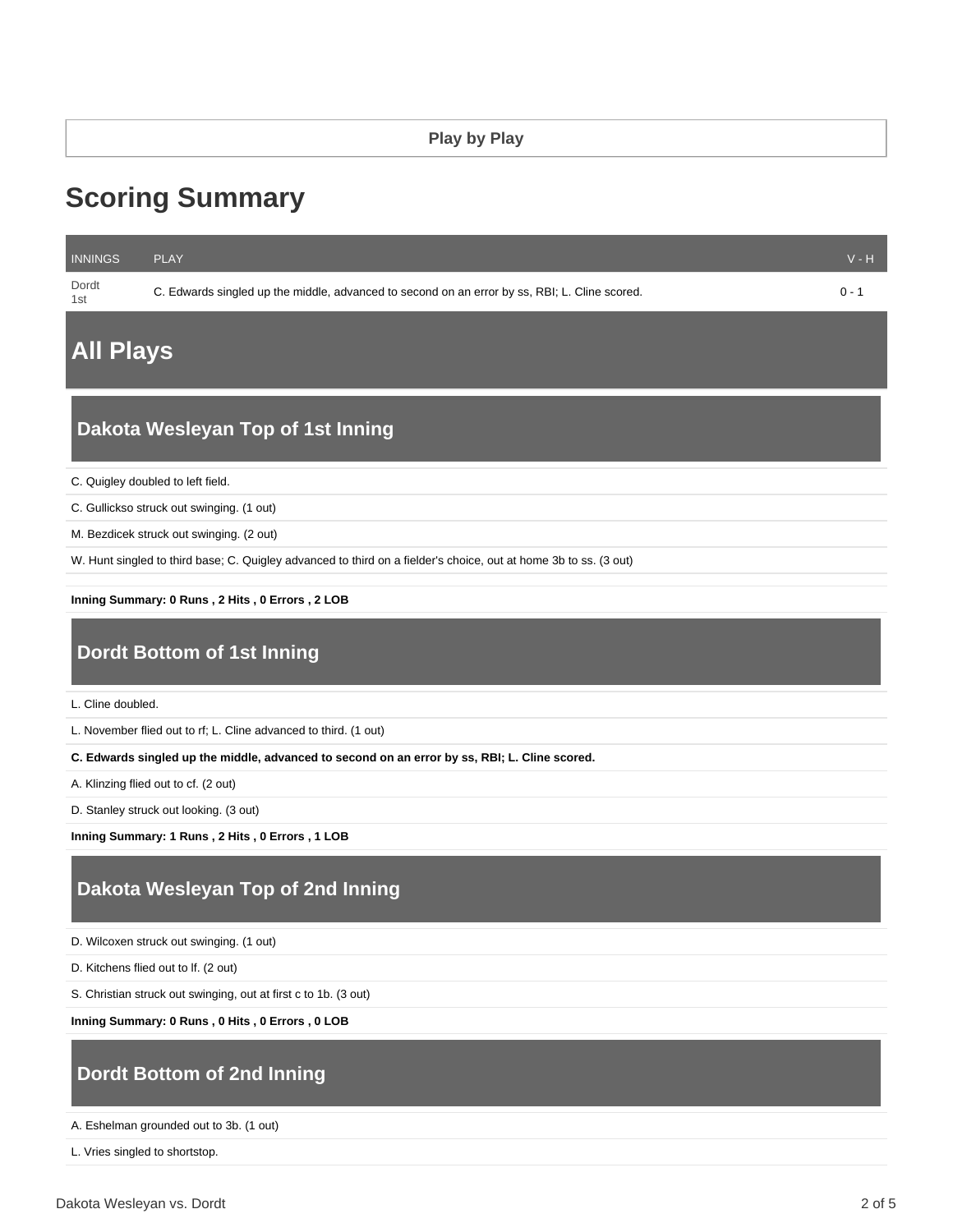# **Scoring Summary**

| <b>INNINGS</b> | <b>PLAY</b>                                                                                   | $V - H$ |
|----------------|-----------------------------------------------------------------------------------------------|---------|
| Dordt<br>1st   | C. Edwards singled up the middle, advanced to second on an error by ss, RBI; L. Cline scored. | $0 - 1$ |
|                |                                                                                               |         |

## **All Plays**

## **Dakota Wesleyan Top of 1st Inning**

C. Quigley doubled to left field.

C. Gullickso struck out swinging. (1 out)

M. Bezdicek struck out swinging. (2 out)

W. Hunt singled to third base; C. Quigley advanced to third on a fielder's choice, out at home 3b to ss. (3 out)

**Inning Summary: 0 Runs , 2 Hits , 0 Errors , 2 LOB**

## **Dordt Bottom of 1st Inning**

L. Cline doubled.

L. November flied out to rf; L. Cline advanced to third. (1 out)

**C. Edwards singled up the middle, advanced to second on an error by ss, RBI; L. Cline scored.**

A. Klinzing flied out to cf. (2 out)

D. Stanley struck out looking. (3 out)

**Inning Summary: 1 Runs , 2 Hits , 0 Errors , 1 LOB**

## **Dakota Wesleyan Top of 2nd Inning**

D. Wilcoxen struck out swinging. (1 out)

D. Kitchens flied out to lf. (2 out)

S. Christian struck out swinging, out at first c to 1b. (3 out)

**Inning Summary: 0 Runs , 0 Hits , 0 Errors , 0 LOB**

## **Dordt Bottom of 2nd Inning**

A. Eshelman grounded out to 3b. (1 out)

L. Vries singled to shortstop.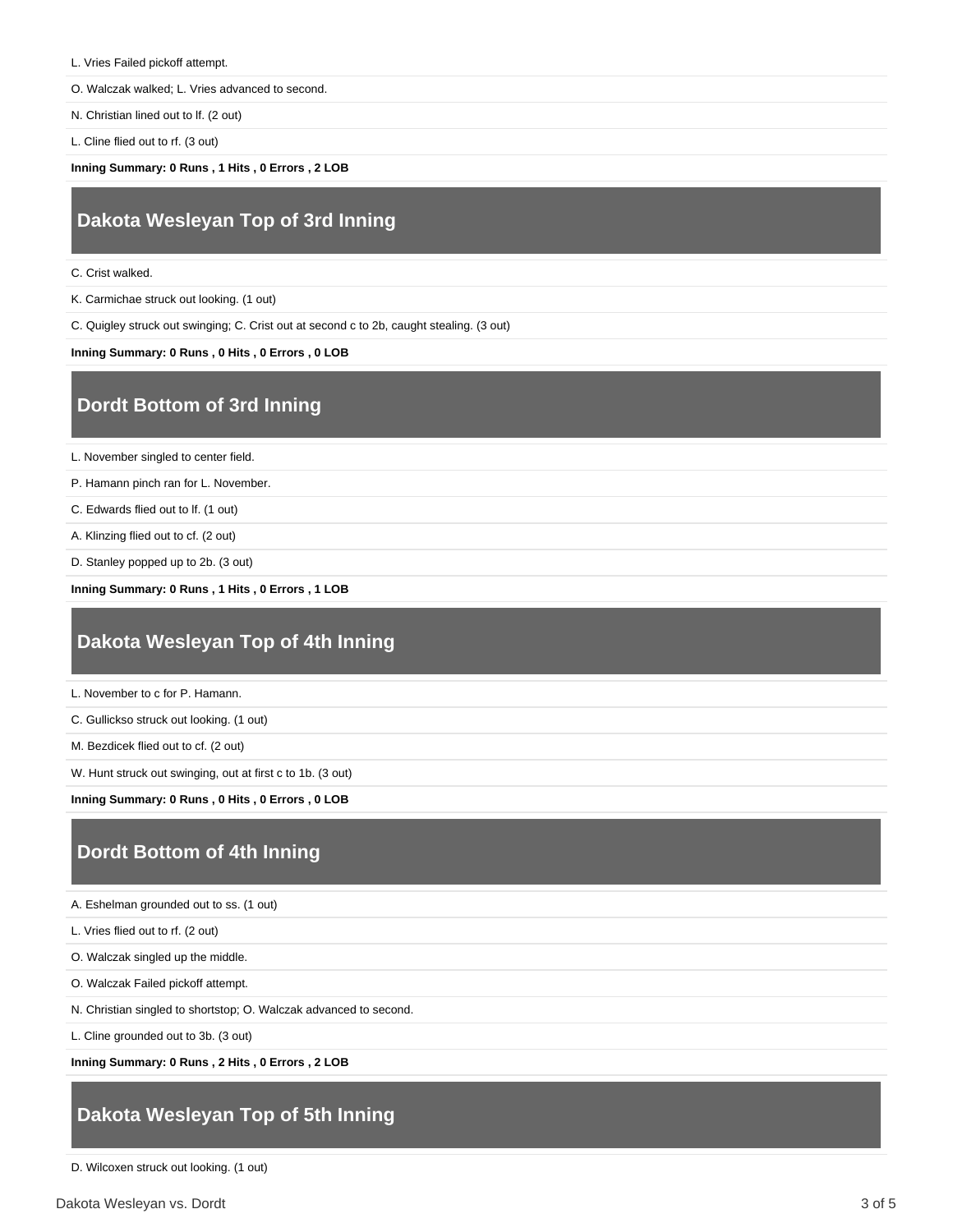- L. Vries Failed pickoff attempt.
- O. Walczak walked; L. Vries advanced to second.
- N. Christian lined out to lf. (2 out)
- L. Cline flied out to rf. (3 out)

**Inning Summary: 0 Runs , 1 Hits , 0 Errors , 2 LOB**

## **Dakota Wesleyan Top of 3rd Inning**

- C. Crist walked.
- K. Carmichae struck out looking. (1 out)
- C. Quigley struck out swinging; C. Crist out at second c to 2b, caught stealing. (3 out)

#### **Inning Summary: 0 Runs , 0 Hits , 0 Errors , 0 LOB**

### **Dordt Bottom of 3rd Inning**

L. November singled to center field.

P. Hamann pinch ran for L. November.

C. Edwards flied out to lf. (1 out)

A. Klinzing flied out to cf. (2 out)

D. Stanley popped up to 2b. (3 out)

**Inning Summary: 0 Runs , 1 Hits , 0 Errors , 1 LOB**

## **Dakota Wesleyan Top of 4th Inning**

L. November to c for P. Hamann.

C. Gullickso struck out looking. (1 out)

M. Bezdicek flied out to cf. (2 out)

W. Hunt struck out swinging, out at first c to 1b. (3 out)

**Inning Summary: 0 Runs , 0 Hits , 0 Errors , 0 LOB**

### **Dordt Bottom of 4th Inning**

A. Eshelman grounded out to ss. (1 out)

L. Vries flied out to rf. (2 out)

O. Walczak singled up the middle.

O. Walczak Failed pickoff attempt.

N. Christian singled to shortstop; O. Walczak advanced to second.

L. Cline grounded out to 3b. (3 out)

**Inning Summary: 0 Runs , 2 Hits , 0 Errors , 2 LOB**

## **Dakota Wesleyan Top of 5th Inning**

D. Wilcoxen struck out looking. (1 out)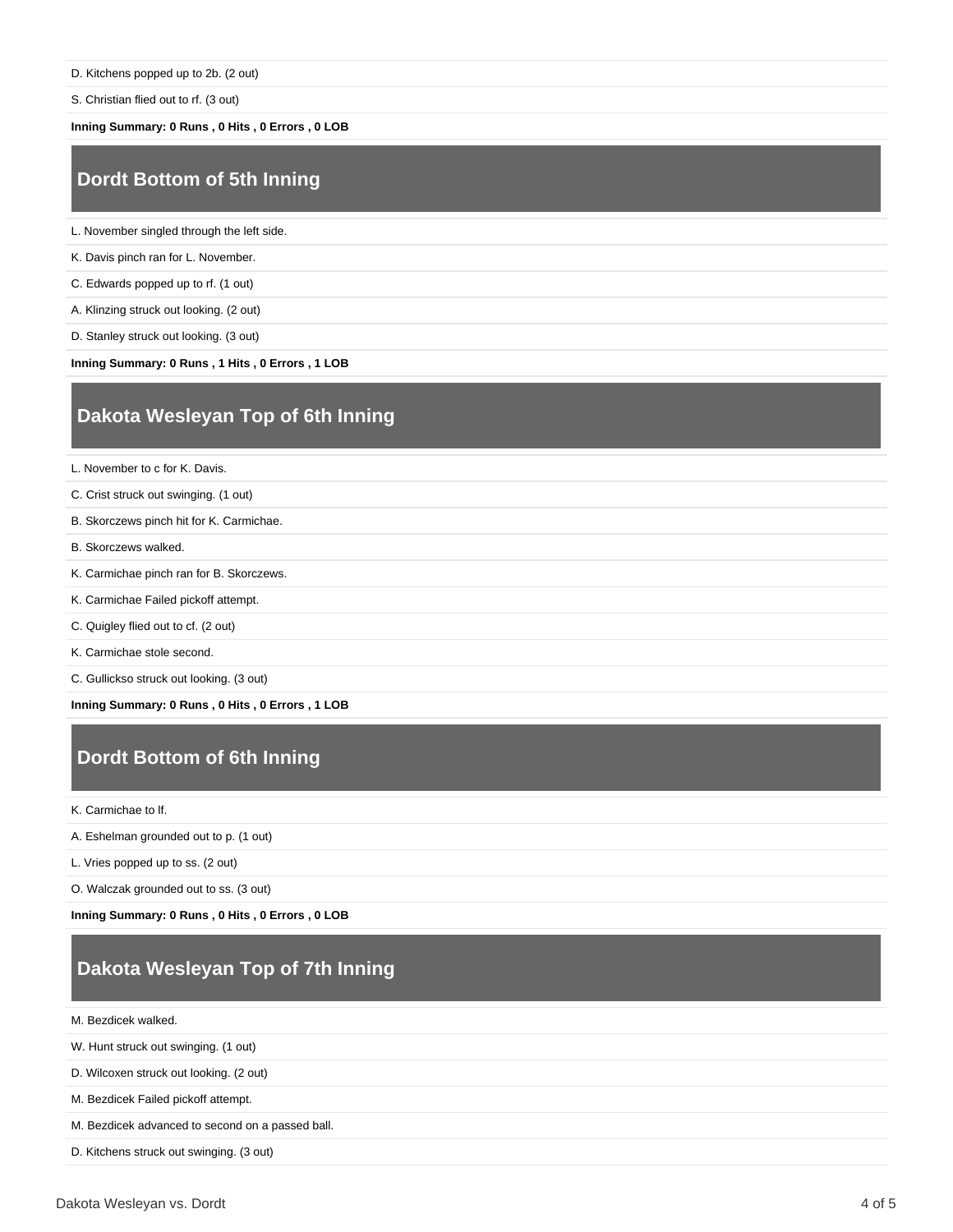D. Kitchens popped up to 2b. (2 out)

S. Christian flied out to rf. (3 out)

**Inning Summary: 0 Runs , 0 Hits , 0 Errors , 0 LOB**

## **Dordt Bottom of 5th Inning**

L. November singled through the left side.

K. Davis pinch ran for L. November.

C. Edwards popped up to rf. (1 out)

A. Klinzing struck out looking. (2 out)

D. Stanley struck out looking. (3 out)

**Inning Summary: 0 Runs , 1 Hits , 0 Errors , 1 LOB**

## **Dakota Wesleyan Top of 6th Inning**

L. November to c for K. Davis.

C. Crist struck out swinging. (1 out)

- B. Skorczews pinch hit for K. Carmichae.
- B. Skorczews walked.
- K. Carmichae pinch ran for B. Skorczews.
- K. Carmichae Failed pickoff attempt.
- C. Quigley flied out to cf. (2 out)
- K. Carmichae stole second.
- C. Gullickso struck out looking. (3 out)

**Inning Summary: 0 Runs , 0 Hits , 0 Errors , 1 LOB**

## **Dordt Bottom of 6th Inning**

K. Carmichae to lf.

A. Eshelman grounded out to p. (1 out)

L. Vries popped up to ss. (2 out)

O. Walczak grounded out to ss. (3 out)

**Inning Summary: 0 Runs , 0 Hits , 0 Errors , 0 LOB**

## **Dakota Wesleyan Top of 7th Inning**

M. Bezdicek walked.

W. Hunt struck out swinging. (1 out)

D. Wilcoxen struck out looking. (2 out)

M. Bezdicek Failed pickoff attempt.

M. Bezdicek advanced to second on a passed ball.

D. Kitchens struck out swinging. (3 out)